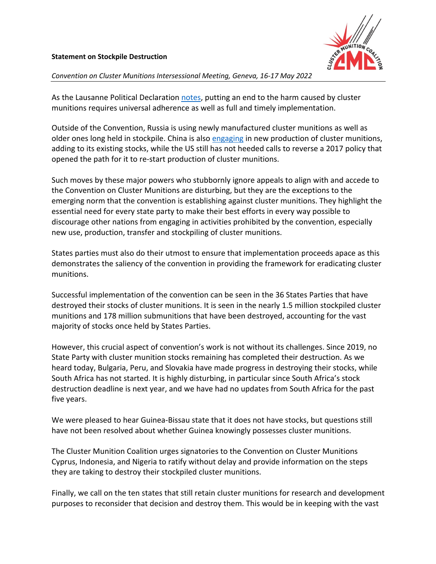

## *Convention on Cluster Munitions Intersessional Meeting, Geneva, 16-17 May 2022*

As the Lausanne Political Declaration notes, putting an end to the harm caused by cluster munitions requires universal adherence as well as full and timely implementation.

Outside of the Convention, Russia is using newly manufactured cluster munitions as well as older ones long held in stockpile. China is also engaging in new production of cluster munitions, adding to its existing stocks, while the US still has not heeded calls to reverse a 2017 policy that opened the path for it to re-start production of cluster munitions.

Such moves by these major powers who stubbornly ignore appeals to align with and accede to the Convention on Cluster Munitions are disturbing, but they are the exceptions to the emerging norm that the convention is establishing against cluster munitions. They highlight the essential need for every state party to make their best efforts in every way possible to discourage other nations from engaging in activities prohibited by the convention, especially new use, production, transfer and stockpiling of cluster munitions.

States parties must also do their utmost to ensure that implementation proceeds apace as this demonstrates the saliency of the convention in providing the framework for eradicating cluster munitions.

Successful implementation of the convention can be seen in the 36 States Parties that have destroyed their stocks of cluster munitions. It is seen in the nearly 1.5 million stockpiled cluster munitions and 178 million submunitions that have been destroyed, accounting for the vast majority of stocks once held by States Parties.

However, this crucial aspect of convention's work is not without its challenges. Since 2019, no State Party with cluster munition stocks remaining has completed their destruction. As we heard today, Bulgaria, Peru, and Slovakia have made progress in destroying their stocks, while South Africa has not started. It is highly disturbing, in particular since South Africa's stock destruction deadline is next year, and we have had no updates from South Africa for the past five years.

We were pleased to hear Guinea-Bissau state that it does not have stocks, but questions still have not been resolved about whether Guinea knowingly possesses cluster munitions.

The Cluster Munition Coalition urges signatories to the Convention on Cluster Munitions Cyprus, Indonesia, and Nigeria to ratify without delay and provide information on the steps they are taking to destroy their stockpiled cluster munitions.

Finally, we call on the ten states that still retain cluster munitions for research and development purposes to reconsider that decision and destroy them. This would be in keeping with the vast